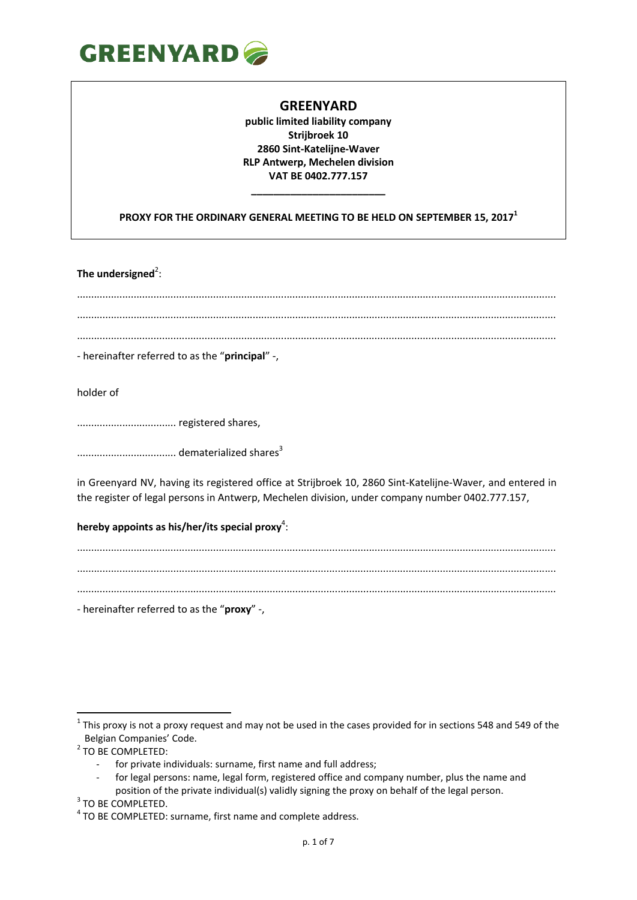

**public limited liability company Strijbroek 10 2860 Sint-Katelijne-Waver RLP Antwerp, Mechelen division VAT BE 0402.777.157**

**PROXY FOR THE ORDINARY GENERAL MEETING TO BE HELD ON SEPTEMBER 15, 2017 1**

**\_\_\_\_\_\_\_\_\_\_\_\_\_\_\_\_\_\_\_\_\_\_\_\_**

The undersigned<sup>2</sup>:

......................................................................................................................................................................... ......................................................................................................................................................................... .........................................................................................................................................................................

- hereinafter referred to as the "**principal**" -,

holder of

................................... registered shares,

................................... dematerialized shares<sup>3</sup>

in Greenyard NV, having its registered office at Strijbroek 10, 2860 Sint-Katelijne-Waver, and entered in the register of legal persons in Antwerp, Mechelen division, under company number 0402.777.157,

### hereby appoints as his/her/its special proxy<sup>4</sup>:

......................................................................................................................................................................... ......................................................................................................................................................................... .........................................................................................................................................................................

- hereinafter referred to as the "**proxy**" -,

**.** 

 $1$  This proxy is not a proxy request and may not be used in the cases provided for in sections 548 and 549 of the Belgian Companies' Code.

<sup>&</sup>lt;sup>2</sup> TO BE COMPLETED:

for private individuals: surname, first name and full address;

for legal persons: name, legal form, registered office and company number, plus the name and

position of the private individual(s) validly signing the proxy on behalf of the legal person.

<sup>&</sup>lt;sup>3</sup> TO BE COMPLETED.

 $4$  TO BE COMPLETED: surname, first name and complete address.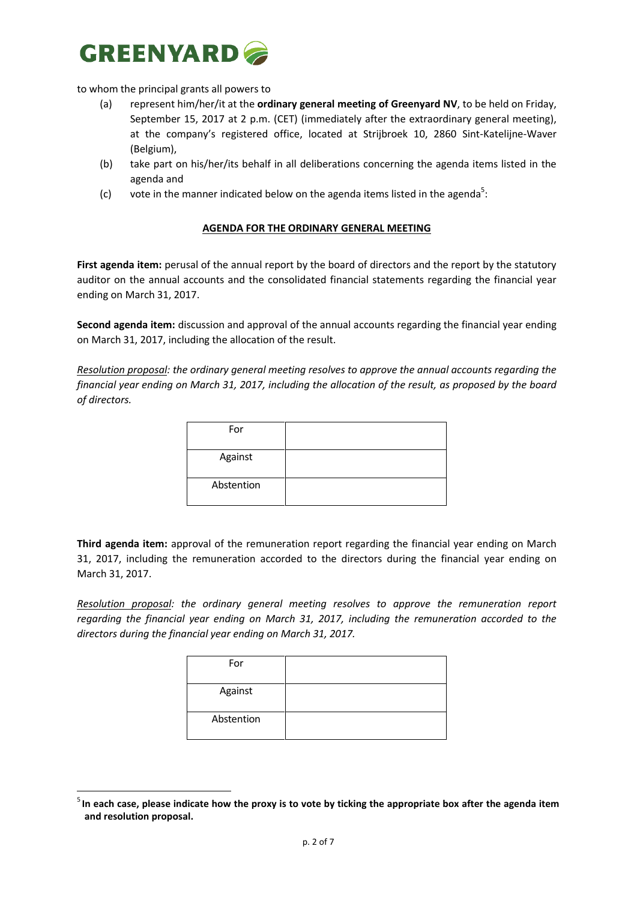

to whom the principal grants all powers to

**.** 

- (a) represent him/her/it at the **ordinary general meeting of Greenyard NV**, to be held on Friday, September 15, 2017 at 2 p.m. (CET) (immediately after the extraordinary general meeting), at the company's registered office, located at Strijbroek 10, 2860 Sint-Katelijne-Waver (Belgium),
- (b) take part on his/her/its behalf in all deliberations concerning the agenda items listed in the agenda and
- (c) vote in the manner indicated below on the agenda items listed in the agenda<sup>5</sup>:

#### **AGENDA FOR THE ORDINARY GENERAL MEETING**

First agenda item: perusal of the annual report by the board of directors and the report by the statutory auditor on the annual accounts and the consolidated financial statements regarding the financial year ending on March 31, 2017.

**Second agenda item:** discussion and approval of the annual accounts regarding the financial year ending on March 31, 2017, including the allocation of the result.

*Resolution proposal: the ordinary general meeting resolves to approve the annual accounts regarding the financial year ending on March 31, 2017, including the allocation of the result, as proposed by the board of directors.*

| For        |  |
|------------|--|
| Against    |  |
| Abstention |  |

**Third agenda item:** approval of the remuneration report regarding the financial year ending on March 31, 2017, including the remuneration accorded to the directors during the financial year ending on March 31, 2017.

*Resolution proposal: the ordinary general meeting resolves to approve the remuneration report regarding the financial year ending on March 31, 2017, including the remuneration accorded to the directors during the financial year ending on March 31, 2017.*

| For        |  |
|------------|--|
| Against    |  |
| Abstention |  |

<sup>&</sup>lt;sup>5</sup> In each case, please indicate how the proxy is to vote by ticking the appropriate box after the agenda item **and resolution proposal.**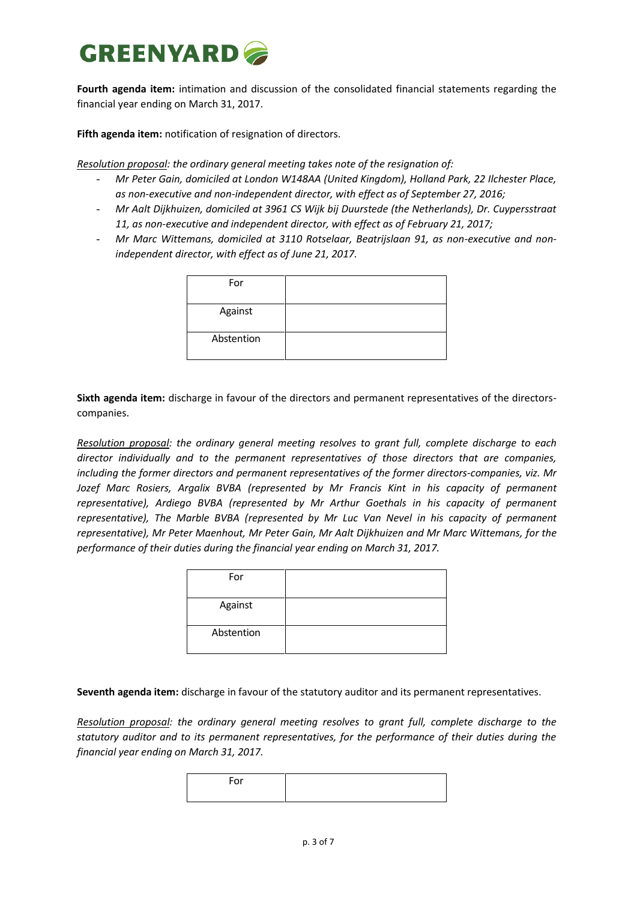**Fourth agenda item:** intimation and discussion of the consolidated financial statements regarding the financial year ending on March 31, 2017.

**Fifth agenda item:** notification of resignation of directors.

*Resolution proposal: the ordinary general meeting takes note of the resignation of:*

- *Mr Peter Gain, domiciled at London W148AA (United Kingdom), Holland Park, 22 Ilchester Place, as non-executive and non-independent director, with effect as of September 27, 2016;*
- *Mr Aalt Dijkhuizen, domiciled at 3961 CS Wijk bij Duurstede (the Netherlands), Dr. Cuypersstraat 11, as non-executive and independent director, with effect as of February 21, 2017;*
- *Mr Marc Wittemans, domiciled at 3110 Rotselaar, Beatrijslaan 91, as non-executive and nonindependent director, with effect as of June 21, 2017.*

| For        |  |
|------------|--|
| Against    |  |
| Abstention |  |

**Sixth agenda item:** discharge in favour of the directors and permanent representatives of the directorscompanies.

*Resolution proposal: the ordinary general meeting resolves to grant full, complete discharge to each director individually and to the permanent representatives of those directors that are companies, including the former directors and permanent representatives of the former directors-companies, viz. Mr Jozef Marc Rosiers, Argalix BVBA (represented by Mr Francis Kint in his capacity of permanent representative), Ardiego BVBA (represented by Mr Arthur Goethals in his capacity of permanent representative), The Marble BVBA (represented by Mr Luc Van Nevel in his capacity of permanent representative), Mr Peter Maenhout, Mr Peter Gain, Mr Aalt Dijkhuizen and Mr Marc Wittemans, for the performance of their duties during the financial year ending on March 31, 2017.*

| For        |  |
|------------|--|
| Against    |  |
| Abstention |  |

**Seventh agenda item:** discharge in favour of the statutory auditor and its permanent representatives.

*Resolution proposal: the ordinary general meeting resolves to grant full, complete discharge to the statutory auditor and to its permanent representatives, for the performance of their duties during the financial year ending on March 31, 2017.*

| --- |  |
|-----|--|
|     |  |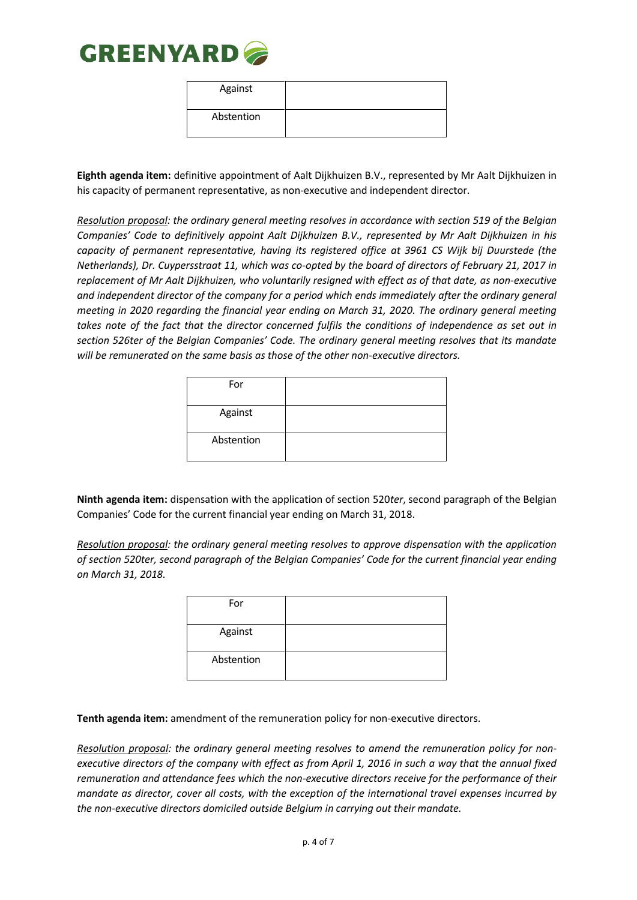

| Against    |  |
|------------|--|
| Abstention |  |

**Eighth agenda item:** definitive appointment of Aalt Dijkhuizen B.V., represented by Mr Aalt Dijkhuizen in his capacity of permanent representative, as non-executive and independent director.

*Resolution proposal: the ordinary general meeting resolves in accordance with section 519 of the Belgian Companies' Code to definitively appoint Aalt Dijkhuizen B.V., represented by Mr Aalt Dijkhuizen in his capacity of permanent representative, having its registered office at 3961 CS Wijk bij Duurstede (the Netherlands), Dr. Cuypersstraat 11, which was co-opted by the board of directors of February 21, 2017 in replacement of Mr Aalt Dijkhuizen, who voluntarily resigned with effect as of that date, as non-executive and independent director of the company for a period which ends immediately after the ordinary general meeting in 2020 regarding the financial year ending on March 31, 2020. The ordinary general meeting takes note of the fact that the director concerned fulfils the conditions of independence as set out in section 526ter of the Belgian Companies' Code. The ordinary general meeting resolves that its mandate will be remunerated on the same basis as those of the other non-executive directors.*

| For        |  |
|------------|--|
| Against    |  |
| Abstention |  |

**Ninth agenda item:** dispensation with the application of section 520*ter*, second paragraph of the Belgian Companies' Code for the current financial year ending on March 31, 2018.

*Resolution proposal: the ordinary general meeting resolves to approve dispensation with the application of section 520ter, second paragraph of the Belgian Companies' Code for the current financial year ending on March 31, 2018.* 

| For        |  |
|------------|--|
| Against    |  |
| Abstention |  |

**Tenth agenda item:** amendment of the remuneration policy for non-executive directors.

*Resolution proposal: the ordinary general meeting resolves to amend the remuneration policy for nonexecutive directors of the company with effect as from April 1, 2016 in such a way that the annual fixed remuneration and attendance fees which the non-executive directors receive for the performance of their mandate as director, cover all costs, with the exception of the international travel expenses incurred by the non-executive directors domiciled outside Belgium in carrying out their mandate.*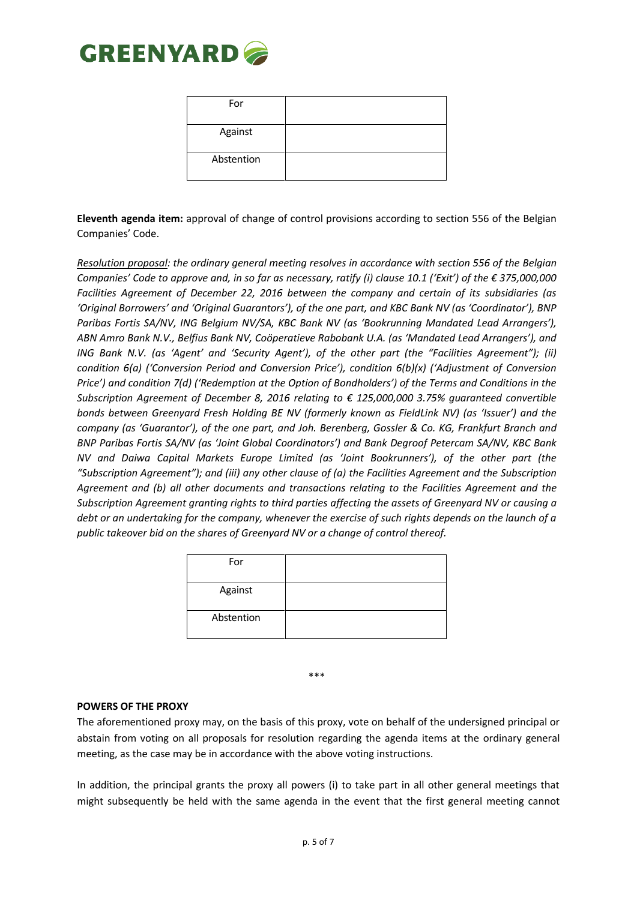

| For        |  |
|------------|--|
| Against    |  |
| Abstention |  |

**Eleventh agenda item:** approval of change of control provisions according to section 556 of the Belgian Companies' Code.

*Resolution proposal: the ordinary general meeting resolves in accordance with section 556 of the Belgian Companies' Code to approve and, in so far as necessary, ratify (i) clause 10.1 ('Exit') of the € 375,000,000 Facilities Agreement of December 22, 2016 between the company and certain of its subsidiaries (as 'Original Borrowers' and 'Original Guarantors'), of the one part, and KBC Bank NV (as 'Coordinator'), BNP Paribas Fortis SA/NV, ING Belgium NV/SA, KBC Bank NV (as 'Bookrunning Mandated Lead Arrangers'), ABN Amro Bank N.V., Belfius Bank NV, Coöperatieve Rabobank U.A. (as 'Mandated Lead Arrangers'), and ING Bank N.V. (as 'Agent' and 'Security Agent'), of the other part (the "Facilities Agreement"); (ii) condition 6(a) ('Conversion Period and Conversion Price'), condition 6(b)(x) ('Adjustment of Conversion Price') and condition 7(d) ('Redemption at the Option of Bondholders') of the Terms and Conditions in the Subscription Agreement of December 8, 2016 relating to € 125,000,000 3.75% guaranteed convertible bonds between Greenyard Fresh Holding BE NV (formerly known as FieldLink NV) (as 'Issuer') and the company (as 'Guarantor'), of the one part, and Joh. Berenberg, Gossler & Co. KG, Frankfurt Branch and BNP Paribas Fortis SA/NV (as 'Joint Global Coordinators') and Bank Degroof Petercam SA/NV, KBC Bank NV and Daiwa Capital Markets Europe Limited (as 'Joint Bookrunners'), of the other part (the "Subscription Agreement"); and (iii) any other clause of (a) the Facilities Agreement and the Subscription Agreement and (b) all other documents and transactions relating to the Facilities Agreement and the Subscription Agreement granting rights to third parties affecting the assets of Greenyard NV or causing a debt or an undertaking for the company, whenever the exercise of such rights depends on the launch of a public takeover bid on the shares of Greenyard NV or a change of control thereof.* 

| For        |  |
|------------|--|
| Against    |  |
| Abstention |  |

\*\*\*

#### **POWERS OF THE PROXY**

The aforementioned proxy may, on the basis of this proxy, vote on behalf of the undersigned principal or abstain from voting on all proposals for resolution regarding the agenda items at the ordinary general meeting, as the case may be in accordance with the above voting instructions.

In addition, the principal grants the proxy all powers (i) to take part in all other general meetings that might subsequently be held with the same agenda in the event that the first general meeting cannot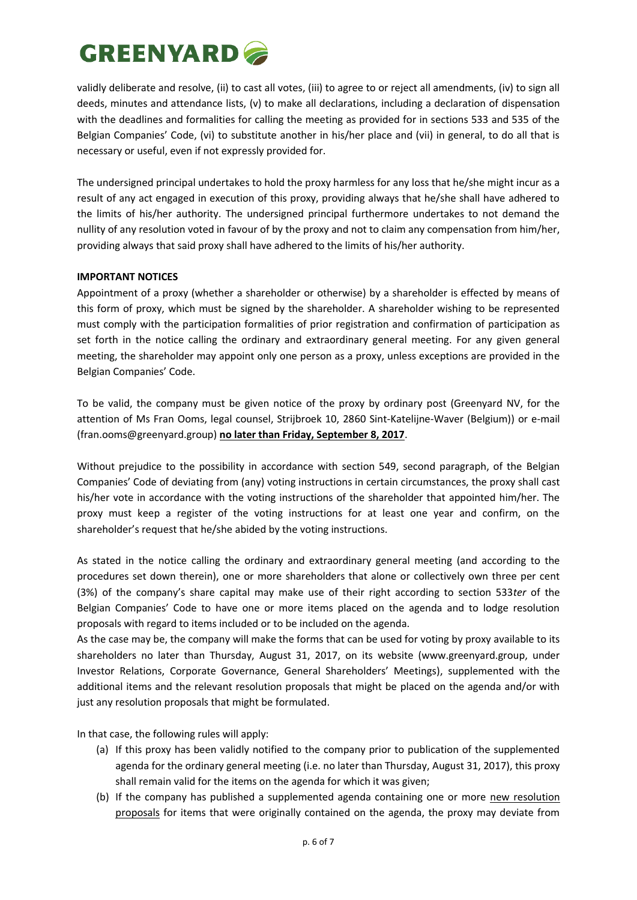validly deliberate and resolve, (ii) to cast all votes, (iii) to agree to or reject all amendments, (iv) to sign all deeds, minutes and attendance lists, (v) to make all declarations, including a declaration of dispensation with the deadlines and formalities for calling the meeting as provided for in sections 533 and 535 of the Belgian Companies' Code, (vi) to substitute another in his/her place and (vii) in general, to do all that is necessary or useful, even if not expressly provided for.

The undersigned principal undertakes to hold the proxy harmless for any loss that he/she might incur as a result of any act engaged in execution of this proxy, providing always that he/she shall have adhered to the limits of his/her authority. The undersigned principal furthermore undertakes to not demand the nullity of any resolution voted in favour of by the proxy and not to claim any compensation from him/her, providing always that said proxy shall have adhered to the limits of his/her authority.

### **IMPORTANT NOTICES**

Appointment of a proxy (whether a shareholder or otherwise) by a shareholder is effected by means of this form of proxy, which must be signed by the shareholder. A shareholder wishing to be represented must comply with the participation formalities of prior registration and confirmation of participation as set forth in the notice calling the ordinary and extraordinary general meeting. For any given general meeting, the shareholder may appoint only one person as a proxy, unless exceptions are provided in the Belgian Companies' Code.

To be valid, the company must be given notice of the proxy by ordinary post (Greenyard NV, for the attention of Ms Fran Ooms, legal counsel, Strijbroek 10, 2860 Sint-Katelijne-Waver (Belgium)) or e-mail (fran.ooms@greenyard.group) **no later than Friday, September 8, 2017**.

Without prejudice to the possibility in accordance with section 549, second paragraph, of the Belgian Companies' Code of deviating from (any) voting instructions in certain circumstances, the proxy shall cast his/her vote in accordance with the voting instructions of the shareholder that appointed him/her. The proxy must keep a register of the voting instructions for at least one year and confirm, on the shareholder's request that he/she abided by the voting instructions.

As stated in the notice calling the ordinary and extraordinary general meeting (and according to the procedures set down therein), one or more shareholders that alone or collectively own three per cent (3%) of the company's share capital may make use of their right according to section 533*ter* of the Belgian Companies' Code to have one or more items placed on the agenda and to lodge resolution proposals with regard to items included or to be included on the agenda.

As the case may be, the company will make the forms that can be used for voting by proxy available to its shareholders no later than Thursday, August 31, 2017, on its website (www.greenyard.group, under Investor Relations, Corporate Governance, General Shareholders' Meetings), supplemented with the additional items and the relevant resolution proposals that might be placed on the agenda and/or with just any resolution proposals that might be formulated.

In that case, the following rules will apply:

- (a) If this proxy has been validly notified to the company prior to publication of the supplemented agenda for the ordinary general meeting (i.e. no later than Thursday, August 31, 2017), this proxy shall remain valid for the items on the agenda for which it was given;
- (b) If the company has published a supplemented agenda containing one or more new resolution proposals for items that were originally contained on the agenda, the proxy may deviate from